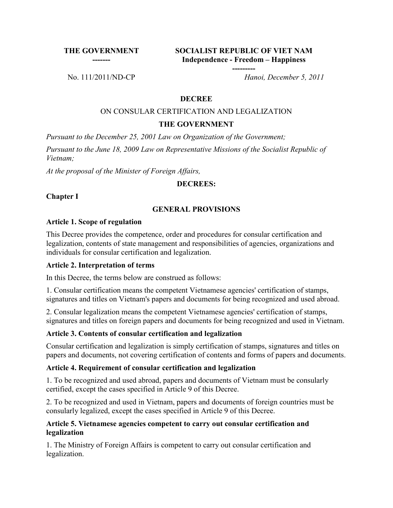**THE GOVERNMENT -------**

**SOCIALIST REPUBLIC OF VIET NAM Independence - Freedom – Happiness**

**---------**

No. 111/2011/ND-CP *Hanoi, December 5, 2011*

### **DECREE**

#### ON CONSULAR CERTIFICATION AND LEGALIZATION

#### **THE GOVERNMENT**

*Pursuant to the December 25, 2001 Law on Organization of the Government;*

*Pursuant to the June 18, 2009 Law on Representative Missions of the Socialist Republic of Vietnam;*

*At the proposal of the Minister of Foreign Affairs,*

#### **DECREES:**

**Chapter I**

### **GENERAL PROVISIONS**

#### **Article 1. Scope of regulation**

This Decree provides the competence, order and procedures for consular certification and legalization, contents of state management and responsibilities of agencies, organizations and individuals for consular certification and legalization.

### **Article 2. Interpretation of terms**

In this Decree, the terms below are construed as follows:

1. Consular certification means the competent Vietnamese agencies' certification of stamps, signatures and titles on Vietnam's papers and documents for being recognized and used abroad.

2. Consular legalization means the competent Vietnamese agencies' certification of stamps, signatures and titles on foreign papers and documents for being recognized and used in Vietnam.

### **Article 3. Contents of consular certification and legalization**

Consular certification and legalization is simply certification of stamps, signatures and titles on papers and documents, not covering certification of contents and forms of papers and documents.

#### **Article 4. Requirement of consular certification and legalization**

1. To be recognized and used abroad, papers and documents of Vietnam must be consularly certified, except the cases specified in Article 9 of this Decree.

2. To be recognized and used in Vietnam, papers and documents of foreign countries must be consularly legalized, except the cases specified in Article 9 of this Decree.

### **Article 5. Vietnamese agencies competent to carry out consular certification and legalization**

1. The Ministry of Foreign Affairs is competent to carry out consular certification and legalization.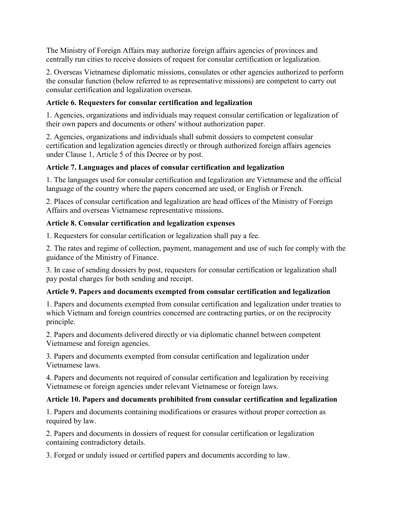The Ministry of Foreign Affairs may authorize foreign affairs agencies of provinces and centrally run cities to receive dossiers of request for consular certification or legalization.

2. Overseas Vietnamese diplomatic missions, consulates or other agencies authorized to perform the consular function (below referred to as representative missions) are competent to carry out consular certification and legalization overseas.

# **Article 6. Requesters for consular certification and legalization**

1. Agencies, organizations and individuals may request consular certification or legalization of their own papers and documents or others' without authorization paper.

2. Agencies, organizations and individuals shall submit dossiers to competent consular certification and legalization agencies directly or through authorized foreign affairs agencies under Clause 1, Article 5 of this Decree or by post.

# **Article 7. Languages and places of consular certification and legalization**

1. The languages used for consular certification and legalization are Vietnamese and the official language of the country where the papers concerned are used, or English or French.

2. Places of consular certification and legalization are head offices of the Ministry of Foreign Affairs and overseas Vietnamese representative missions.

# **Article 8. Consular certification and legalization expenses**

1. Requesters for consular certification or legalization shall pay a fee.

2. The rates and regime of collection, payment, management and use of such fee comply with the guidance of the Ministry of Finance.

3. In case of sending dossiers by post, requesters for consular certification or legalization shall pay postal charges for both sending and receipt.

# **Article 9. Papers and documents exempted from consular certification and legalization**

1. Papers and documents exempted from consular certification and legalization under treaties to which Vietnam and foreign countries concerned are contracting parties, or on the reciprocity principle.

2. Papers and documents delivered directly or via diplomatic channel between competent Vietnamese and foreign agencies.

3. Papers and documents exempted from consular certification and legalization under Vietnamese laws.

4. Papers and documents not required of consular certification and legalization by receiving Vietnamese or foreign agencies under relevant Vietnamese or foreign laws.

# **Article 10. Papers and documents prohibited from consular certification and legalization**

1. Papers and documents containing modifications or erasures without proper correction as required by law.

2. Papers and documents in dossiers of request for consular certification or legalization containing contradictory details.

3. Forged or unduly issued or certified papers and documents according to law.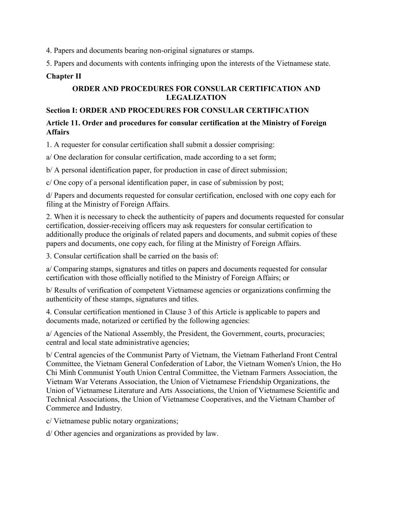4. Papers and documents bearing non-original signatures or stamps.

5. Papers and documents with contents infringing upon the interests of the Vietnamese state.

## **Chapter II**

## **ORDER AND PROCEDURES FOR CONSULAR CERTIFICATION AND LEGALIZATION**

## **Section I: ORDER AND PROCEDURES FOR CONSULAR CERTIFICATION**

## **Article 11. Order and procedures for consular certification at the Ministry of Foreign Affairs**

1. A requester for consular certification shall submit a dossier comprising:

a/ One declaration for consular certification, made according to a set form;

b/ A personal identification paper, for production in case of direct submission;

c/ One copy of a personal identification paper, in case of submission by post;

d/ Papers and documents requested for consular certification, enclosed with one copy each for filing at the Ministry of Foreign Affairs.

2. When it is necessary to check the authenticity of papers and documents requested for consular certification, dossier-receiving officers may ask requesters for consular certification to additionally produce the originals of related papers and documents, and submit copies of these papers and documents, one copy each, for filing at the Ministry of Foreign Affairs.

3. Consular certification shall be carried on the basis of:

a/ Comparing stamps, signatures and titles on papers and documents requested for consular certification with those officially notified to the Ministry of Foreign Affairs; or

b/ Results of verification of competent Vietnamese agencies or organizations confirming the authenticity of these stamps, signatures and titles.

4. Consular certification mentioned in Clause 3 of this Article is applicable to papers and documents made, notarized or certified by the following agencies:

a/ Agencies of the National Assembly, the President, the Government, courts, procuracies; central and local state administrative agencies;

b/ Central agencies of the Communist Party of Vietnam, the Vietnam Fatherland Front Central Committee, the Vietnam General Confederation of Labor, the Vietnam Women's Union, the Ho Chi Minh Communist Youth Union Central Committee, the Vietnam Farmers Association, the Vietnam War Veterans Association, the Union of Vietnamese Friendship Organizations, the Union of Vietnamese Literature and Arts Associations, the Union of Vietnamese Scientific and Technical Associations, the Union of Vietnamese Cooperatives, and the Vietnam Chamber of Commerce and Industry.

c/ Vietnamese public notary organizations;

d/ Other agencies and organizations as provided by law.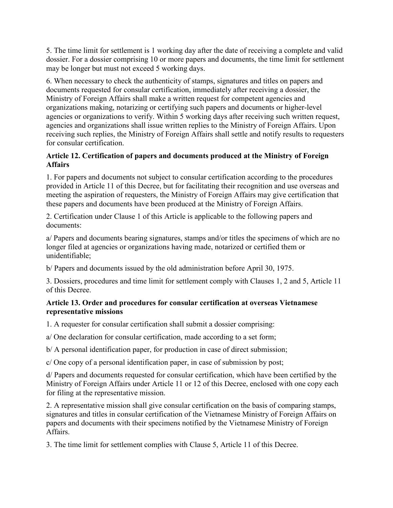5. The time limit for settlement is 1 working day after the date of receiving a complete and valid dossier. For a dossier comprising 10 or more papers and documents, the time limit for settlement may be longer but must not exceed 5 working days.

6. When necessary to check the authenticity of stamps, signatures and titles on papers and documents requested for consular certification, immediately after receiving a dossier, the Ministry of Foreign Affairs shall make a written request for competent agencies and organizations making, notarizing or certifying such papers and documents or higher-level agencies or organizations to verify. Within 5 working days after receiving such written request, agencies and organizations shall issue written replies to the Ministry of Foreign Affairs. Upon receiving such replies, the Ministry of Foreign Affairs shall settle and notify results to requesters for consular certification.

## **Article 12. Certification of papers and documents produced at the Ministry of Foreign Affairs**

1. For papers and documents not subject to consular certification according to the procedures provided in Article 11 of this Decree, but for facilitating their recognition and use overseas and meeting the aspiration of requesters, the Ministry of Foreign Affairs may give certification that these papers and documents have been produced at the Ministry of Foreign Affairs.

2. Certification under Clause 1 of this Article is applicable to the following papers and documents:

a/ Papers and documents bearing signatures, stamps and/or titles the specimens of which are no longer filed at agencies or organizations having made, notarized or certified them or unidentifiable;

b/ Papers and documents issued by the old administration before April 30, 1975.

3. Dossiers, procedures and time limit for settlement comply with Clauses 1, 2 and 5, Article 11 of this Decree.

## **Article 13. Order and procedures for consular certification at overseas Vietnamese representative missions**

1. A requester for consular certification shall submit a dossier comprising:

a/ One declaration for consular certification, made according to a set form;

b/ A personal identification paper, for production in case of direct submission;

c/ One copy of a personal identification paper, in case of submission by post;

d/ Papers and documents requested for consular certification, which have been certified by the Ministry of Foreign Affairs under Article 11 or 12 of this Decree, enclosed with one copy each for filing at the representative mission.

2. A representative mission shall give consular certification on the basis of comparing stamps, signatures and titles in consular certification of the Vietnamese Ministry of Foreign Affairs on papers and documents with their specimens notified by the Vietnamese Ministry of Foreign **Affairs** 

3. The time limit for settlement complies with Clause 5, Article 11 of this Decree.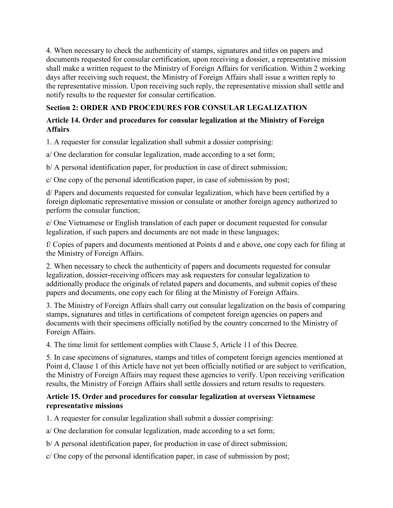4. When necessary to check the authenticity of stamps, signatures and titles on papers and documents requested for consular certification, upon receiving a dossier, a representative mission shall make a written request to the Ministry of Foreign Affairs for verification. Within 2 working days after receiving such request, the Ministry of Foreign Affairs shall issue a written reply to the representative mission. Upon receiving such reply, the representative mission shall settle and notify results to the requester for consular certification.

# **Section 2: ORDER AND PROCEDURES FOR CONSULAR LEGALIZATION**

## **Article 14. Order and procedures for consular legalization at the Ministry of Foreign Affairs**

1. A requester for consular legalization shall submit a dossier comprising:

a/ One declaration for consular legalization, made according to a set form;

b/ A personal identification paper, for production in case of direct submission;

c/ One copy of the personal identification paper, in case of submission by post;

d/ Papers and documents requested for consular legalization, which have been certified by a foreign diplomatic representative mission or consulate or another foreign agency authorized to perform the consular function;

e/ One Vietnamese or English translation of each paper or document requested for consular legalization, if such papers and documents are not made in these languages;

f/ Copies of papers and documents mentioned at Points d and e above, one copy each for filing at the Ministry of Foreign Affairs.

2. When necessary to check the authenticity of papers and documents requested for consular legalization, dossier-receiving officers may ask requesters for consular legalization to additionally produce the originals of related papers and documents, and submit copies of these papers and documents, one copy each for filing at the Ministry of Foreign Affairs.

3. The Ministry of Foreign Affairs shall carry out consular legalization on the basis of comparing stamps, signatures and titles in certifications of competent foreign agencies on papers and documents with their specimens officially notified by the country concerned to the Ministry of Foreign Affairs.

4. The time limit for settlement complies with Clause 5, Article 11 of this Decree.

5. In case specimens of signatures, stamps and titles of competent foreign agencies mentioned at Point d, Clause 1 of this Article have not yet been officially notified or are subject to verification, the Ministry of Foreign Affairs may request these agencies to verify. Upon receiving verification results, the Ministry of Foreign Affairs shall settle dossiers and return results to requesters.

## **Article 15. Order and procedures for consular legalization at overseas Vietnamese representative missions**

1. A requester for consular legalization shall submit a dossier comprising:

a/ One declaration for consular legalization, made according to a set form;

b/ A personal identification paper, for production in case of direct submission;

c/ One copy of the personal identification paper, in case of submission by post;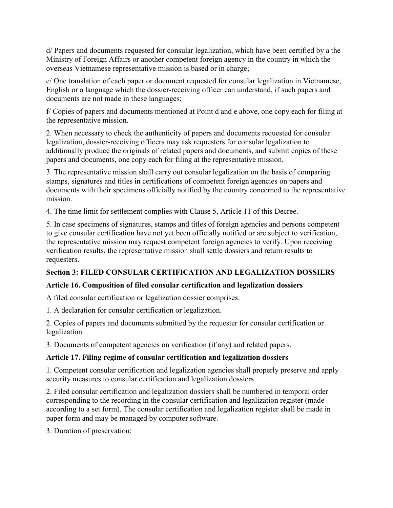d/ Papers and documents requested for consular legalization, which have been certified by a the Ministry of Foreign Affairs or another competent foreign agency in the country in which the overseas Vietnamese representative mission is based or in charge;

e/ One translation of each paper or document requested for consular legalization in Vietnamese, English or a language which the dossier-receiving officer can understand, if such papers and documents are not made in these languages;

f/ Copies of papers and documents mentioned at Point d and e above, one copy each for filing at the representative mission.

2. When necessary to check the authenticity of papers and documents requested for consular legalization, dossier-receiving officers may ask requesters for consular legalization to additionally produce the originals of related papers and documents, and submit copies of these papers and documents, one copy each for filing at the representative mission.

3. The representative mission shall carry out consular legalization on the basis of comparing stamps, signatures and titles in certifications of competent foreign agencies on papers and documents with their specimens officially notified by the country concerned to the representative mission.

4. The time limit for settlement complies with Clause 5, Article 11 of this Decree.

5. In case specimens of signatures, stamps and titles of foreign agencies and persons competent to give consular certification have not yet been officially notified or are subject to verification, the representative mission may request competent foreign agencies to verify. Upon receiving verification results, the representative mission shall settle dossiers and return results to requesters.

# **Section 3: FILED CONSULAR CERTIFICATION AND LEGALIZATION DOSSIERS**

# **Article 16. Composition of filed consular certification and legalization dossiers**

A filed consular certification or legalization dossier comprises:

1. A declaration for consular certification or legalization.

2. Copies of papers and documents submitted by the requester for consular certification or legalization

3. Documents of competent agencies on verification (if any) and related papers.

# **Article 17. Filing regime of consular certification and legalization dossiers**

1. Competent consular certification and legalization agencies shall properly preserve and apply security measures to consular certification and legalization dossiers.

2. Filed consular certification and legalization dossiers shall be numbered in temporal order corresponding to the recording in the consular certification and legalization register (made according to a set form). The consular certification and legalization register shall be made in paper form and may be managed by computer software.

3. Duration of preservation: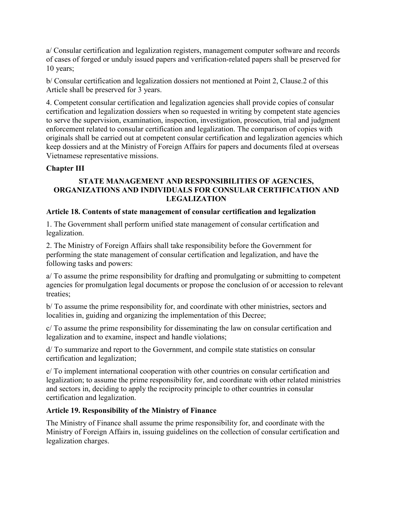a/ Consular certification and legalization registers, management computer software and records of cases of forged or unduly issued papers and verification-related papers shall be preserved for 10 years;

b/ Consular certification and legalization dossiers not mentioned at Point 2, Clause.2 of this Article shall be preserved for 3 years.

4. Competent consular certification and legalization agencies shall provide copies of consular certification and legalization dossiers when so requested in writing by competent state agencies to serve the supervision, examination, inspection, investigation, prosecution, trial and judgment enforcement related to consular certification and legalization. The comparison of copies with originals shall be carried out at competent consular certification and legalization agencies which keep dossiers and at the Ministry of Foreign Affairs for papers and documents filed at overseas Vietnamese representative missions.

# **Chapter III**

## **STATE MANAGEMENT AND RESPONSIBILITIES OF AGENCIES, ORGANIZATIONS AND INDIVIDUALS FOR CONSULAR CERTIFICATION AND LEGALIZATION**

## **Article 18. Contents of state management of consular certification and legalization**

1. The Government shall perform unified state management of consular certification and legalization.

2. The Ministry of Foreign Affairs shall take responsibility before the Government for performing the state management of consular certification and legalization, and have the following tasks and powers:

a/ To assume the prime responsibility for drafting and promulgating or submitting to competent agencies for promulgation legal documents or propose the conclusion of or accession to relevant treaties;

b/ To assume the prime responsibility for, and coordinate with other ministries, sectors and localities in, guiding and organizing the implementation of this Decree;

c/ To assume the prime responsibility for disseminating the law on consular certification and legalization and to examine, inspect and handle violations;

d/ To summarize and report to the Government, and compile state statistics on consular certification and legalization;

e/ To implement international cooperation with other countries on consular certification and legalization; to assume the prime responsibility for, and coordinate with other related ministries and sectors in, deciding to apply the reciprocity principle to other countries in consular certification and legalization.

## **Article 19. Responsibility of the Ministry of Finance**

The Ministry of Finance shall assume the prime responsibility for, and coordinate with the Ministry of Foreign Affairs in, issuing guidelines on the collection of consular certification and legalization charges.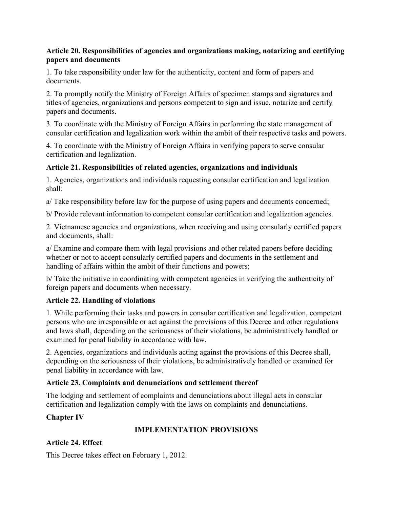## **Article 20. Responsibilities of agencies and organizations making, notarizing and certifying papers and documents**

1. To take responsibility under law for the authenticity, content and form of papers and documents.

2. To promptly notify the Ministry of Foreign Affairs of specimen stamps and signatures and titles of agencies, organizations and persons competent to sign and issue, notarize and certify papers and documents.

3. To coordinate with the Ministry of Foreign Affairs in performing the state management of consular certification and legalization work within the ambit of their respective tasks and powers.

4. To coordinate with the Ministry of Foreign Affairs in verifying papers to serve consular certification and legalization.

## **Article 21. Responsibilities of related agencies, organizations and individuals**

1. Agencies, organizations and individuals requesting consular certification and legalization shall:

a/ Take responsibility before law for the purpose of using papers and documents concerned;

b/ Provide relevant information to competent consular certification and legalization agencies.

2. Vietnamese agencies and organizations, when receiving and using consularly certified papers and documents, shall:

a/ Examine and compare them with legal provisions and other related papers before deciding whether or not to accept consularly certified papers and documents in the settlement and handling of affairs within the ambit of their functions and powers;

b/ Take the initiative in coordinating with competent agencies in verifying the authenticity of foreign papers and documents when necessary.

# **Article 22. Handling of violations**

1. While performing their tasks and powers in consular certification and legalization, competent persons who are irresponsible or act against the provisions of this Decree and other regulations and laws shall, depending on the seriousness of their violations, be administratively handled or examined for penal liability in accordance with law.

2. Agencies, organizations and individuals acting against the provisions of this Decree shall, depending on the seriousness of their violations, be administratively handled or examined for penal liability in accordance with law.

# **Article 23. Complaints and denunciations and settlement thereof**

The lodging and settlement of complaints and denunciations about illegal acts in consular certification and legalization comply with the laws on complaints and denunciations.

# **Chapter IV**

# **IMPLEMENTATION PROVISIONS**

# **Article 24. Effect**

This Decree takes effect on February 1, 2012.